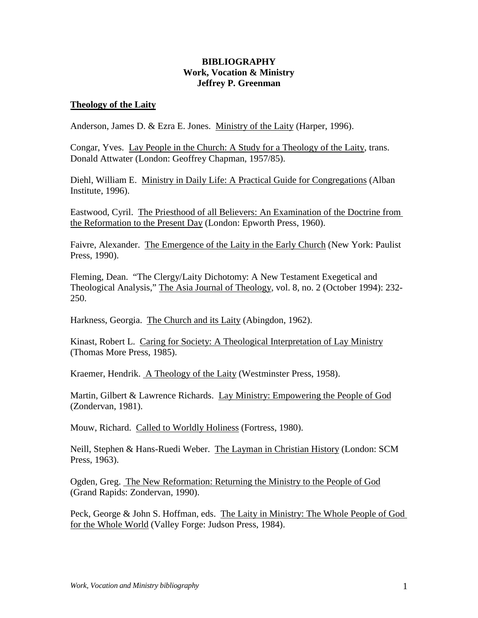# **BIBLIOGRAPHY Work, Vocation & Ministry Jeffrey P. Greenman**

### **Theology of the Laity**

Anderson, James D. & Ezra E. Jones. Ministry of the Laity (Harper, 1996).

Congar, Yves. Lay People in the Church: A Study for a Theology of the Laity, trans. Donald Attwater (London: Geoffrey Chapman, 1957/85).

Diehl, William E. Ministry in Daily Life: A Practical Guide for Congregations (Alban Institute, 1996).

Eastwood, Cyril. The Priesthood of all Believers: An Examination of the Doctrine from the Reformation to the Present Day (London: Epworth Press, 1960).

Faivre, Alexander. The Emergence of the Laity in the Early Church (New York: Paulist Press, 1990).

Fleming, Dean. "The Clergy/Laity Dichotomy: A New Testament Exegetical and Theological Analysis," The Asia Journal of Theology, vol. 8, no. 2 (October 1994): 232- 250.

Harkness, Georgia. The Church and its Laity (Abingdon, 1962).

Kinast, Robert L. Caring for Society: A Theological Interpretation of Lay Ministry (Thomas More Press, 1985).

Kraemer, Hendrik. A Theology of the Laity (Westminster Press, 1958).

Martin, Gilbert & Lawrence Richards. Lay Ministry: Empowering the People of God (Zondervan, 1981).

Mouw, Richard. Called to Worldly Holiness (Fortress, 1980).

Neill, Stephen & Hans-Ruedi Weber. The Layman in Christian History (London: SCM Press, 1963).

Ogden, Greg. The New Reformation: Returning the Ministry to the People of God (Grand Rapids: Zondervan, 1990).

Peck, George & John S. Hoffman, eds. The Laity in Ministry: The Whole People of God for the Whole World (Valley Forge: Judson Press, 1984).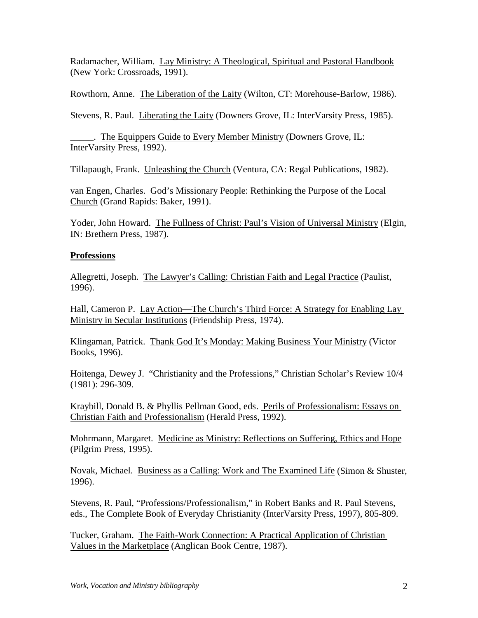Radamacher, William. Lay Ministry: A Theological, Spiritual and Pastoral Handbook (New York: Crossroads, 1991).

Rowthorn, Anne. The Liberation of the Laity (Wilton, CT: Morehouse-Barlow, 1986).

Stevens, R. Paul. Liberating the Laity (Downers Grove, IL: InterVarsity Press, 1985).

\_\_\_\_\_. The Equippers Guide to Every Member Ministry (Downers Grove, IL: InterVarsity Press, 1992).

Tillapaugh, Frank. Unleashing the Church (Ventura, CA: Regal Publications, 1982).

van Engen, Charles. God's Missionary People: Rethinking the Purpose of the Local Church (Grand Rapids: Baker, 1991).

Yoder, John Howard. The Fullness of Christ: Paul's Vision of Universal Ministry (Elgin, IN: Brethern Press, 1987).

# **Professions**

Allegretti, Joseph. The Lawyer's Calling: Christian Faith and Legal Practice (Paulist, 1996).

Hall, Cameron P. Lay Action—The Church's Third Force: A Strategy for Enabling Lay Ministry in Secular Institutions (Friendship Press, 1974).

Klingaman, Patrick. Thank God It's Monday: Making Business Your Ministry (Victor Books, 1996).

Hoitenga, Dewey J. "Christianity and the Professions," Christian Scholar's Review 10/4 (1981): 296-309.

Kraybill, Donald B. & Phyllis Pellman Good, eds. Perils of Professionalism: Essays on Christian Faith and Professionalism (Herald Press, 1992).

Mohrmann, Margaret. Medicine as Ministry: Reflections on Suffering, Ethics and Hope (Pilgrim Press, 1995).

Novak, Michael. Business as a Calling: Work and The Examined Life (Simon & Shuster, 1996).

Stevens, R. Paul, "Professions/Professionalism," in Robert Banks and R. Paul Stevens, eds., The Complete Book of Everyday Christianity (InterVarsity Press, 1997), 805-809.

Tucker, Graham. The Faith-Work Connection: A Practical Application of Christian Values in the Marketplace (Anglican Book Centre, 1987).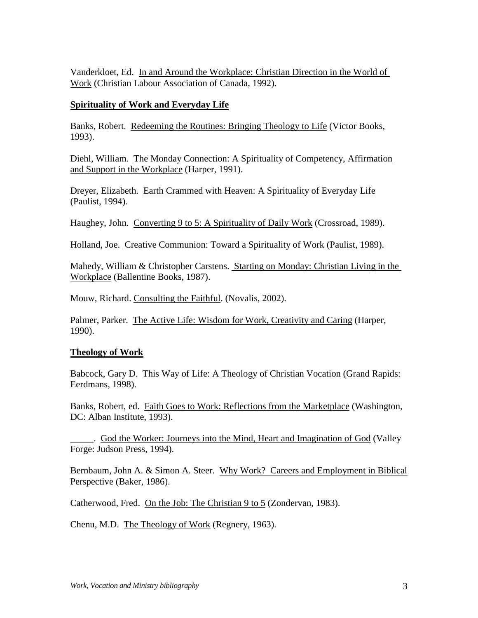Vanderkloet, Ed. In and Around the Workplace: Christian Direction in the World of Work (Christian Labour Association of Canada, 1992).

# **Spirituality of Work and Everyday Life**

Banks, Robert. Redeeming the Routines: Bringing Theology to Life (Victor Books, 1993).

Diehl, William. The Monday Connection: A Spirituality of Competency, Affirmation and Support in the Workplace (Harper, 1991).

Dreyer, Elizabeth. Earth Crammed with Heaven: A Spirituality of Everyday Life (Paulist, 1994).

Haughey, John. Converting 9 to 5: A Spirituality of Daily Work (Crossroad, 1989).

Holland, Joe. Creative Communion: Toward a Spirituality of Work (Paulist, 1989).

Mahedy, William & Christopher Carstens. Starting on Monday: Christian Living in the Workplace (Ballentine Books, 1987).

Mouw, Richard. Consulting the Faithful. (Novalis, 2002).

Palmer, Parker. The Active Life: Wisdom for Work, Creativity and Caring (Harper, 1990).

# **Theology of Work**

Babcock, Gary D. This Way of Life: A Theology of Christian Vocation (Grand Rapids: Eerdmans, 1998).

Banks, Robert, ed. Faith Goes to Work: Reflections from the Marketplace (Washington, DC: Alban Institute, 1993).

\_\_\_\_\_. God the Worker: Journeys into the Mind, Heart and Imagination of God (Valley Forge: Judson Press, 1994).

Bernbaum, John A. & Simon A. Steer. Why Work? Careers and Employment in Biblical Perspective (Baker, 1986).

Catherwood, Fred. On the Job: The Christian 9 to 5 (Zondervan, 1983).

Chenu, M.D. The Theology of Work (Regnery, 1963).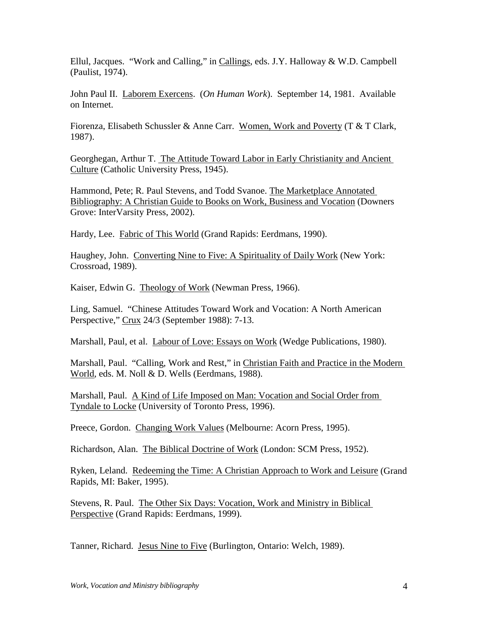Ellul, Jacques. "Work and Calling," in Callings, eds. J.Y. Halloway & W.D. Campbell (Paulist, 1974).

John Paul II. Laborem Exercens. (*On Human Work*). September 14, 1981. Available on Internet.

Fiorenza, Elisabeth Schussler & Anne Carr. Women, Work and Poverty (T & T Clark, 1987).

Georghegan, Arthur T. The Attitude Toward Labor in Early Christianity and Ancient Culture (Catholic University Press, 1945).

Hammond, Pete; R. Paul Stevens, and Todd Svanoe. The Marketplace Annotated Bibliography: A Christian Guide to Books on Work, Business and Vocation (Downers Grove: InterVarsity Press, 2002).

Hardy, Lee. Fabric of This World (Grand Rapids: Eerdmans, 1990).

Haughey, John. Converting Nine to Five: A Spirituality of Daily Work (New York: Crossroad, 1989).

Kaiser, Edwin G. Theology of Work (Newman Press, 1966).

Ling, Samuel. "Chinese Attitudes Toward Work and Vocation: A North American Perspective," Crux 24/3 (September 1988): 7-13.

Marshall, Paul, et al. Labour of Love: Essays on Work (Wedge Publications, 1980).

Marshall, Paul. "Calling, Work and Rest," in Christian Faith and Practice in the Modern World, eds. M. Noll & D. Wells (Eerdmans, 1988).

Marshall, Paul. A Kind of Life Imposed on Man: Vocation and Social Order from Tyndale to Locke (University of Toronto Press, 1996).

Preece, Gordon. Changing Work Values (Melbourne: Acorn Press, 1995).

Richardson, Alan. The Biblical Doctrine of Work (London: SCM Press, 1952).

Ryken, Leland. Redeeming the Time: A Christian Approach to Work and Leisure (Grand Rapids, MI: Baker, 1995).

Stevens, R. Paul. The Other Six Days: Vocation, Work and Ministry in Biblical Perspective (Grand Rapids: Eerdmans, 1999).

Tanner, Richard. Jesus Nine to Five (Burlington, Ontario: Welch, 1989).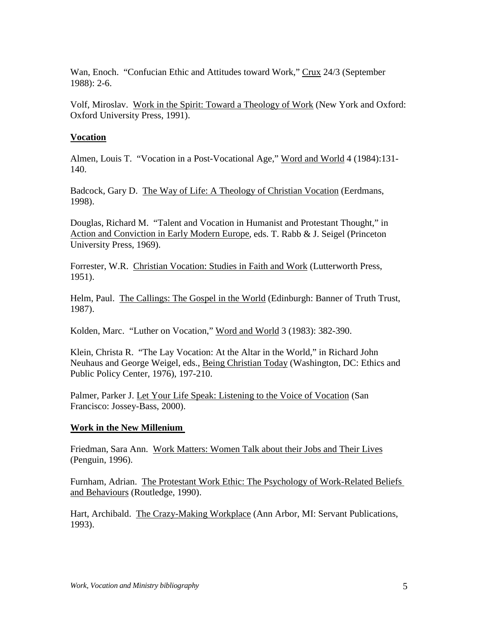Wan, Enoch. "Confucian Ethic and Attitudes toward Work," Crux 24/3 (September 1988): 2-6.

Volf, Miroslav. Work in the Spirit: Toward a Theology of Work (New York and Oxford: Oxford University Press, 1991).

# **Vocation**

Almen, Louis T. "Vocation in a Post-Vocational Age," Word and World 4 (1984):131- 140.

Badcock, Gary D. The Way of Life: A Theology of Christian Vocation (Eerdmans, 1998).

Douglas, Richard M. "Talent and Vocation in Humanist and Protestant Thought," in Action and Conviction in Early Modern Europe, eds. T. Rabb & J. Seigel (Princeton University Press, 1969).

Forrester, W.R. Christian Vocation: Studies in Faith and Work (Lutterworth Press, 1951).

Helm, Paul. The Callings: The Gospel in the World (Edinburgh: Banner of Truth Trust, 1987).

Kolden, Marc. "Luther on Vocation," Word and World 3 (1983): 382-390.

Klein, Christa R. "The Lay Vocation: At the Altar in the World," in Richard John Neuhaus and George Weigel, eds., Being Christian Today (Washington, DC: Ethics and Public Policy Center, 1976), 197-210.

Palmer, Parker J. Let Your Life Speak: Listening to the Voice of Vocation (San Francisco: Jossey-Bass, 2000).

# **Work in the New Millenium**

Friedman, Sara Ann. Work Matters: Women Talk about their Jobs and Their Lives (Penguin, 1996).

Furnham, Adrian. The Protestant Work Ethic: The Psychology of Work-Related Beliefs and Behaviours (Routledge, 1990).

Hart, Archibald. The Crazy-Making Workplace (Ann Arbor, MI: Servant Publications, 1993).